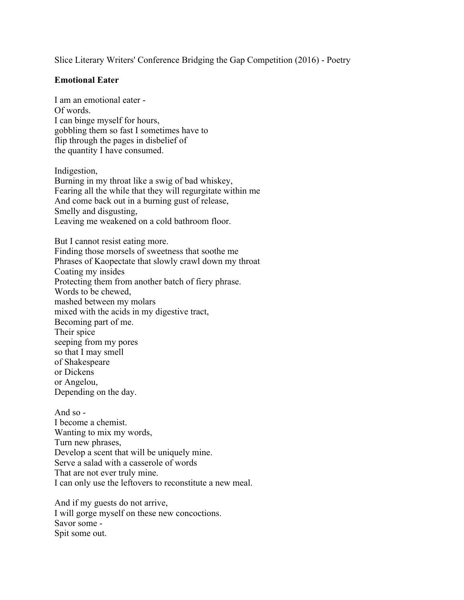Slice Literary Writers' Conference Bridging the Gap Competition (2016) - Poetry

## **Emotional Eater**

I am an emotional eater - Of words. I can binge myself for hours, gobbling them so fast I sometimes have to flip through the pages in disbelief of the quantity I have consumed.

Indigestion, Burning in my throat like a swig of bad whiskey, Fearing all the while that they will regurgitate within me And come back out in a burning gust of release, Smelly and disgusting, Leaving me weakened on a cold bathroom floor.

But I cannot resist eating more. Finding those morsels of sweetness that soothe me Phrases of Kaopectate that slowly crawl down my throat Coating my insides Protecting them from another batch of fiery phrase. Words to be chewed, mashed between my molars mixed with the acids in my digestive tract, Becoming part of me. Their spice seeping from my pores so that I may smell of Shakespeare or Dickens or Angelou, Depending on the day.

And so - I become a chemist. Wanting to mix my words, Turn new phrases, Develop a scent that will be uniquely mine. Serve a salad with a casserole of words That are not ever truly mine. I can only use the leftovers to reconstitute a new meal.

And if my guests do not arrive, I will gorge myself on these new concoctions. Savor some - Spit some out.